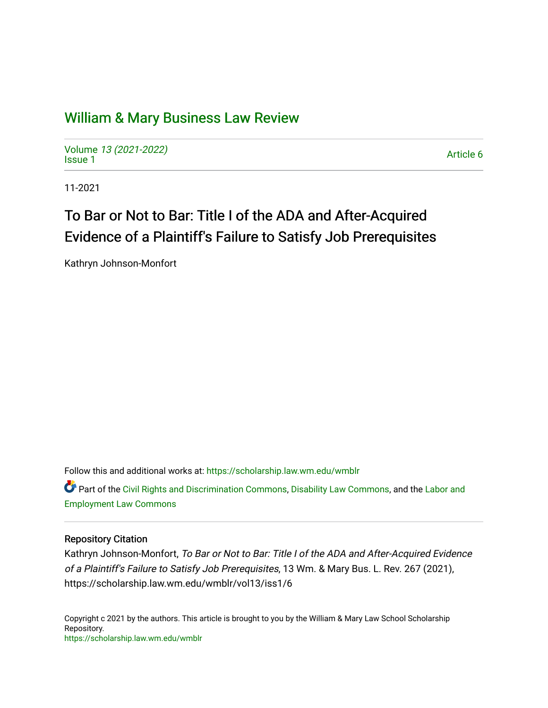## [William & Mary Business Law Review](https://scholarship.law.wm.edu/wmblr)

Volume [13 \(2021-2022\)](https://scholarship.law.wm.edu/wmblr/vol13)  volume 15 (2021-2022)<br>[Issue 1](https://scholarship.law.wm.edu/wmblr/vol13/iss1)

11-2021

# To Bar or Not to Bar: Title I of the ADA and After-Acquired Evidence of a Plaintiff's Failure to Satisfy Job Prerequisites

Kathryn Johnson-Monfort

Follow this and additional works at: [https://scholarship.law.wm.edu/wmblr](https://scholarship.law.wm.edu/wmblr?utm_source=scholarship.law.wm.edu%2Fwmblr%2Fvol13%2Fiss1%2F6&utm_medium=PDF&utm_campaign=PDFCoverPages) 

Part of the [Civil Rights and Discrimination Commons,](http://network.bepress.com/hgg/discipline/585?utm_source=scholarship.law.wm.edu%2Fwmblr%2Fvol13%2Fiss1%2F6&utm_medium=PDF&utm_campaign=PDFCoverPages) [Disability Law Commons](http://network.bepress.com/hgg/discipline/1074?utm_source=scholarship.law.wm.edu%2Fwmblr%2Fvol13%2Fiss1%2F6&utm_medium=PDF&utm_campaign=PDFCoverPages), and the [Labor and](http://network.bepress.com/hgg/discipline/909?utm_source=scholarship.law.wm.edu%2Fwmblr%2Fvol13%2Fiss1%2F6&utm_medium=PDF&utm_campaign=PDFCoverPages)  [Employment Law Commons](http://network.bepress.com/hgg/discipline/909?utm_source=scholarship.law.wm.edu%2Fwmblr%2Fvol13%2Fiss1%2F6&utm_medium=PDF&utm_campaign=PDFCoverPages)

## Repository Citation

Kathryn Johnson-Monfort, To Bar or Not to Bar: Title I of the ADA and After-Acquired Evidence of a Plaintiff's Failure to Satisfy Job Prerequisites, 13 Wm. & Mary Bus. L. Rev. 267 (2021), https://scholarship.law.wm.edu/wmblr/vol13/iss1/6

Copyright c 2021 by the authors. This article is brought to you by the William & Mary Law School Scholarship Repository. <https://scholarship.law.wm.edu/wmblr>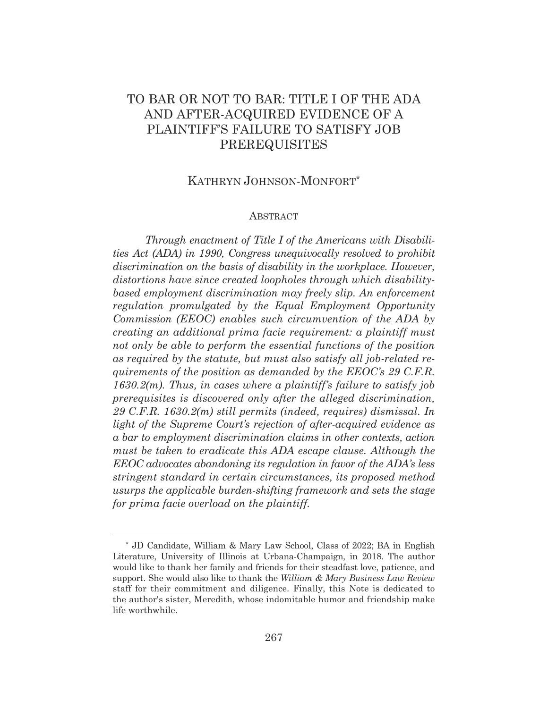## TO BAR OR NOT TO BAR: TITLE I OF THE ADA AND AFTER-ACQUIRED EVIDENCE OF A PLAINTIFF'S FAILURE TO SATISFY JOB PREREQUISITES

## KATHRYN JOHNSON-MONFORT\*

#### ABSTRACT

*Through enactment of Title I of the Americans with Disabilities Act (ADA) in 1990, Congress unequivocally resolved to prohibit discrimination on the basis of disability in the workplace. However, distortions have since created loopholes through which disabilitybased employment discrimination may freely slip. An enforcement regulation promulgated by the Equal Employment Opportunity Commission (EEOC) enables such circumvention of the ADA by creating an additional prima facie requirement: a plaintiff must not only be able to perform the essential functions of the position as required by the statute, but must also satisfy all job-related requirements of the position as demanded by the EEOC's 29 C.F.R. 1630.2(m). Thus, in cases where a plaintiff's failure to satisfy job prerequisites is discovered only after the alleged discrimination, 29 C.F.R. 1630.2(m) still permits (indeed, requires) dismissal. In light of the Supreme Court's rejection of after-acquired evidence as a bar to employment discrimination claims in other contexts, action must be taken to eradicate this ADA escape clause. Although the EEOC advocates abandoning its regulation in favor of the ADA's less stringent standard in certain circumstances, its proposed method usurps the applicable burden-shifting framework and sets the stage for prima facie overload on the plaintiff.* 

<sup>\*</sup> JD Candidate, William & Mary Law School, Class of 2022; BA in English Literature, University of Illinois at Urbana-Champaign, in 2018. The author would like to thank her family and friends for their steadfast love, patience, and support. She would also like to thank the *William & Mary Business Law Review* staff for their commitment and diligence. Finally, this Note is dedicated to the author's sister, Meredith, whose indomitable humor and friendship make life worthwhile.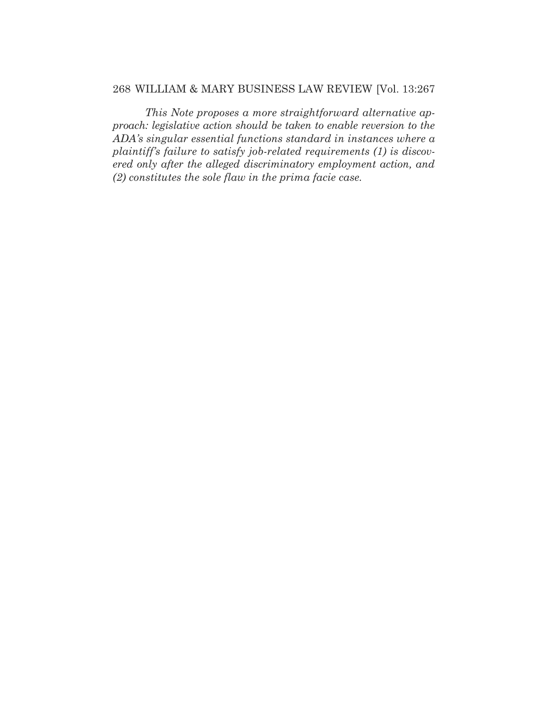## 268 WILLIAM & MARY BUSINESS LAW REVIEW [Vol. 13:267

*This Note proposes a more straightforward alternative approach: legislative action should be taken to enable reversion to the ADA's singular essential functions standard in instances where a plaintiff's failure to satisfy job-related requirements (1) is discovered only after the alleged discriminatory employment action, and (2) constitutes the sole flaw in the prima facie case.*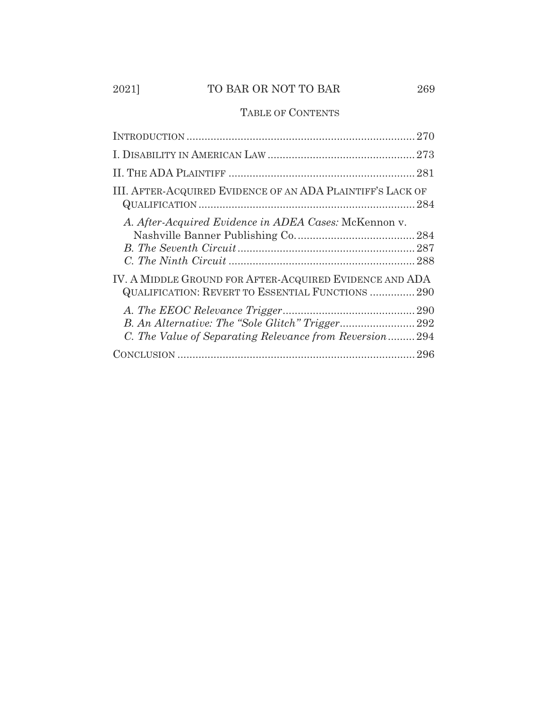## 2021] TO BAR OR NOT TO BAR 269

## TABLE OF CONTENTS

| III. AFTER-ACQUIRED EVIDENCE OF AN ADA PLAINTIFF'S LACK OF                                                   |
|--------------------------------------------------------------------------------------------------------------|
| A. After-Acquired Evidence in ADEA Cases: McKennon v.                                                        |
| IV. A MIDDLE GROUND FOR AFTER-ACQUIRED EVIDENCE AND ADA<br>QUALIFICATION: REVERT TO ESSENTIAL FUNCTIONS  290 |
| C. The Value of Separating Relevance from Reversion294                                                       |
|                                                                                                              |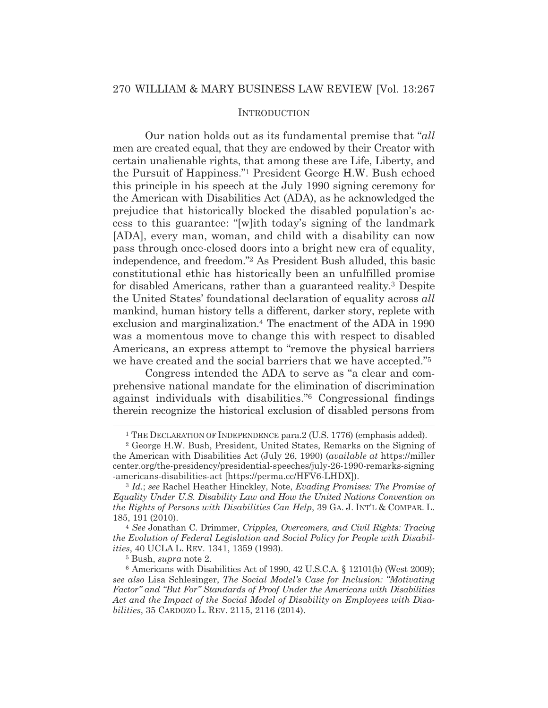### **INTRODUCTION**

Our nation holds out as its fundamental premise that "*all* men are created equal, that they are endowed by their Creator with certain unalienable rights, that among these are Life, Liberty, and the Pursuit of Happiness."1 President George H.W. Bush echoed this principle in his speech at the July 1990 signing ceremony for the American with Disabilities Act (ADA), as he acknowledged the prejudice that historically blocked the disabled population's access to this guarantee: "[w]ith today's signing of the landmark [ADA], every man, woman, and child with a disability can now pass through once-closed doors into a bright new era of equality, independence, and freedom."2 As President Bush alluded, this basic constitutional ethic has historically been an unfulfilled promise for disabled Americans, rather than a guaranteed reality.3 Despite the United States' foundational declaration of equality across *all* mankind, human history tells a different, darker story, replete with exclusion and marginalization.4 The enactment of the ADA in 1990 was a momentous move to change this with respect to disabled Americans, an express attempt to "remove the physical barriers we have created and the social barriers that we have accepted."<sup>5</sup>

 Congress intended the ADA to serve as "a clear and comprehensive national mandate for the elimination of discrimination against individuals with disabilities."6 Congressional findings therein recognize the historical exclusion of disabled persons from

5 Bush, *supra* note 2.

<sup>&</sup>lt;sup>1</sup> THE DECLARATION OF INDEPENDENCE para.2 (U.S. 1776) (emphasis added).<br><sup>2</sup> George H.W. Bush, President, United States, Remarks on the Signing of

the American with Disabilities Act (July 26, 1990) (*available at* https://miller center.org/the-presidency/presidential-speeches/july-26-1990-remarks-signing -americans-disabilities-act [https://perma.cc/HFV6-LHDX]).

<sup>3</sup> *Id.*; *see* Rachel Heather Hinckley, Note, *Evading Promises: The Promise of Equality Under U.S. Disability Law and How the United Nations Convention on the Rights of Persons with Disabilities Can Help*, 39 GA. J. INT'L & COMPAR. L. 185, 191 (2010). 4 *See* Jonathan C. Drimmer, *Cripples, Overcomers, and Civil Rights: Tracing* 

*the Evolution of Federal Legislation and Social Policy for People with Disabilities*, 40 UCLA L. REV. 1341, 1359 (1993).

<sup>6</sup> Americans with Disabilities Act of 1990, 42 U.S.C.A. § 12101(b) (West 2009); *see also* Lisa Schlesinger, *The Social Model's Case for Inclusion: "Motivating Factor" and "But For" Standards of Proof Under the Americans with Disabilities Act and the Impact of the Social Model of Disability on Employees with Disabilities*, 35 CARDOZO L. REV. 2115, 2116 (2014).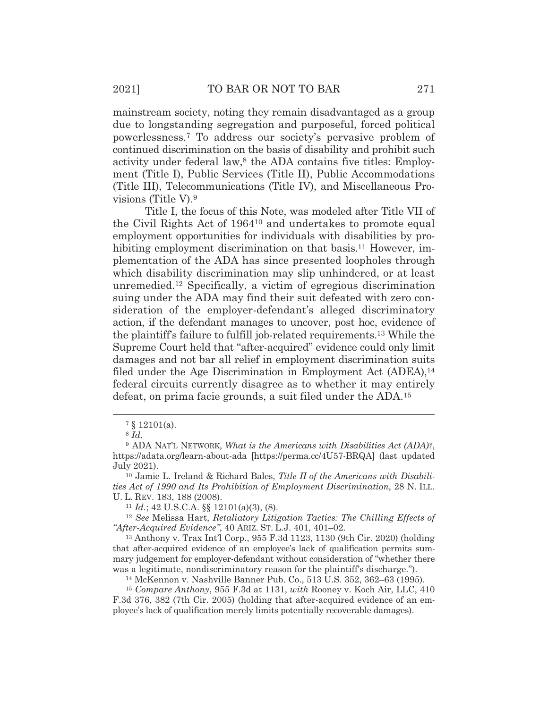mainstream society, noting they remain disadvantaged as a group due to longstanding segregation and purposeful, forced political powerlessness.7 To address our society's pervasive problem of continued discrimination on the basis of disability and prohibit such activity under federal law,<sup>8</sup> the ADA contains five titles: Employment (Title I), Public Services (Title II), Public Accommodations (Title III), Telecommunications (Title IV), and Miscellaneous Provisions (Title V).9

 Title I, the focus of this Note, was modeled after Title VII of the Civil Rights Act of 196410 and undertakes to promote equal employment opportunities for individuals with disabilities by prohibiting employment discrimination on that basis.<sup>11</sup> However, implementation of the ADA has since presented loopholes through which disability discrimination may slip unhindered, or at least unremedied.12 Specifically, a victim of egregious discrimination suing under the ADA may find their suit defeated with zero consideration of the employer-defendant's alleged discriminatory action, if the defendant manages to uncover, post hoc, evidence of the plaintiff's failure to fulfill job-related requirements.13 While the Supreme Court held that "after-acquired" evidence could only limit damages and not bar all relief in employment discrimination suits filed under the Age Discrimination in Employment Act (ADEA),<sup>14</sup> federal circuits currently disagree as to whether it may entirely defeat, on prima facie grounds, a suit filed under the ADA.15

*"After-Acquired Evidence"*, 40 ARIZ. ST. L.J. 401, 401–02.

13 Anthony v. Trax Int'l Corp., 955 F.3d 1123, 1130 (9th Cir. 2020) (holding that after-acquired evidence of an employee's lack of qualification permits summary judgement for employer-defendant without consideration of "whether there was a legitimate, nondiscriminatory reason for the plaintiff's discharge."). 14 McKennon v. Nashville Banner Pub. Co., 513 U.S. 352, 362–63 (1995).

<sup>15</sup> *Compare Anthony*, 955 F.3d at 1131, *with* Rooney v. Koch Air, LLC, 410 F.3d 376, 382 (7th Cir. 2005) (holding that after-acquired evidence of an employee's lack of qualification merely limits potentially recoverable damages).

<sup>7 § 12101(</sup>a).

<sup>8</sup> *Id.*

<sup>9</sup> ADA NAT'L NETWORK, *What is the Americans with Disabilities Act (ADA)?*, https://adata.org/learn-about-ada [https://perma.cc/4U57-BRQA] (last updated July 2021).

<sup>10</sup> Jamie L. Ireland & Richard Bales, *Title II of the Americans with Disabilities Act of 1990 and Its Prohibition of Employment Discrimination*, 28 N. ILL. U. L. REV. 183, 188 (2008).<br><sup>11</sup> *Id.*; 42 U.S.C.A. §§ 12101(a)(3), (8).<br><sup>12</sup> *See* Melissa Hart, *Retaliatory Litigation Tactics: The Chilling Effects of*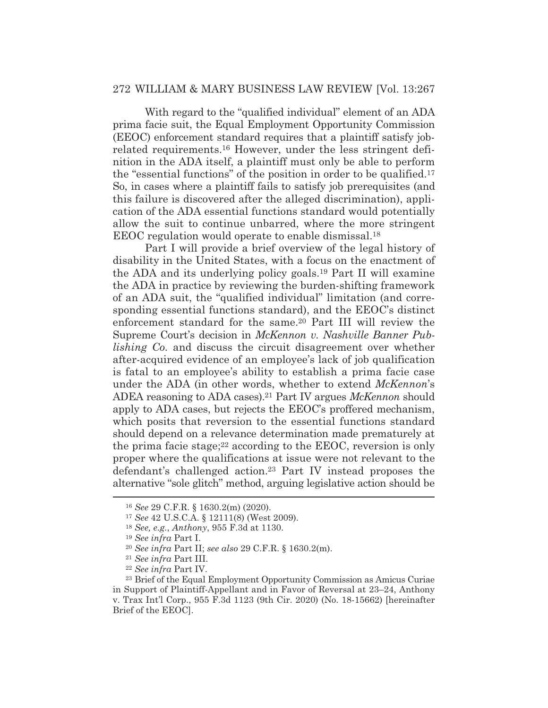## 272 WILLIAM & MARY BUSINESS LAW REVIEW [Vol. 13:267

 With regard to the "qualified individual" element of an ADA prima facie suit, the Equal Employment Opportunity Commission (EEOC) enforcement standard requires that a plaintiff satisfy jobrelated requirements.16 However, under the less stringent definition in the ADA itself, a plaintiff must only be able to perform the "essential functions" of the position in order to be qualified.17 So, in cases where a plaintiff fails to satisfy job prerequisites (and this failure is discovered after the alleged discrimination), application of the ADA essential functions standard would potentially allow the suit to continue unbarred, where the more stringent EEOC regulation would operate to enable dismissal.18

 Part I will provide a brief overview of the legal history of disability in the United States, with a focus on the enactment of the ADA and its underlying policy goals.19 Part II will examine the ADA in practice by reviewing the burden-shifting framework of an ADA suit, the "qualified individual" limitation (and corresponding essential functions standard), and the EEOC's distinct enforcement standard for the same.20 Part III will review the Supreme Court's decision in *McKennon v. Nashville Banner Publishing Co.* and discuss the circuit disagreement over whether after-acquired evidence of an employee's lack of job qualification is fatal to an employee's ability to establish a prima facie case under the ADA (in other words, whether to extend *McKennon*'s ADEA reasoning to ADA cases).21 Part IV argues *McKennon* should apply to ADA cases, but rejects the EEOC's proffered mechanism, which posits that reversion to the essential functions standard should depend on a relevance determination made prematurely at the prima facie stage;22 according to the EEOC, reversion is only proper where the qualifications at issue were not relevant to the defendant's challenged action.23 Part IV instead proposes the alternative "sole glitch" method, arguing legislative action should be

<sup>16</sup> *See* 29 C.F.R. § 1630.2(m) (2020).

<sup>17</sup> *See* 42 U.S.C.A. § 12111(8) (West 2009).

<sup>18</sup> *See, e.g.*, *Anthony*, 955 F.3d at 1130.

<sup>19</sup> *See infra* Part I.

<sup>20</sup> *See infra* Part II; *see also* 29 C.F.R. § 1630.2(m). 21 *See infra* Part III.

<sup>22</sup> *See infra* Part IV.

<sup>23</sup> Brief of the Equal Employment Opportunity Commission as Amicus Curiae in Support of Plaintiff-Appellant and in Favor of Reversal at 23–24, Anthony v. Trax Int'l Corp., 955 F.3d 1123 (9th Cir. 2020) (No. 18-15662) [hereinafter Brief of the EEOC].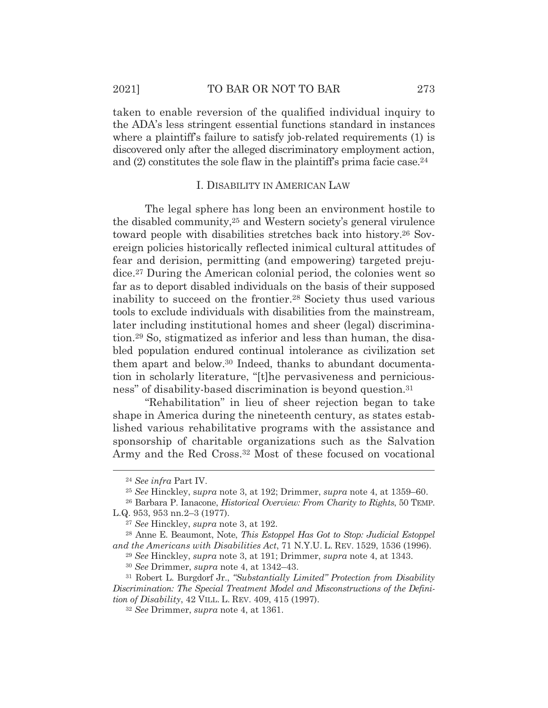taken to enable reversion of the qualified individual inquiry to the ADA's less stringent essential functions standard in instances where a plaintiff's failure to satisfy job-related requirements (1) is discovered only after the alleged discriminatory employment action, and (2) constitutes the sole flaw in the plaintiff's prima facie case.24

#### I. DISABILITY IN AMERICAN LAW

The legal sphere has long been an environment hostile to the disabled community,25 and Western society's general virulence toward people with disabilities stretches back into history.26 Sovereign policies historically reflected inimical cultural attitudes of fear and derision, permitting (and empowering) targeted prejudice.27 During the American colonial period, the colonies went so far as to deport disabled individuals on the basis of their supposed inability to succeed on the frontier.28 Society thus used various tools to exclude individuals with disabilities from the mainstream, later including institutional homes and sheer (legal) discrimination.29 So, stigmatized as inferior and less than human, the disabled population endured continual intolerance as civilization set them apart and below.30 Indeed, thanks to abundant documentation in scholarly literature, "[t]he pervasiveness and perniciousness" of disability-based discrimination is beyond question.31

 "Rehabilitation" in lieu of sheer rejection began to take shape in America during the nineteenth century, as states established various rehabilitative programs with the assistance and sponsorship of charitable organizations such as the Salvation Army and the Red Cross.32 Most of these focused on vocational

<sup>24</sup> *See infra* Part IV.

<sup>25</sup> *See* Hinckley, s*upra* note 3, at 192; Drimmer, *supra* note 4, at 1359–60.

<sup>26</sup> Barbara P. Ianacone, *Historical Overview: From Charity to Rights*, 50 TEMP. L.Q. 953, 953 nn.2–3 (1977).

<sup>27</sup> *See* Hinckley, *supra* note 3, at 192.

<sup>28</sup> Anne E. Beaumont, Note, *This Estoppel Has Got to Stop: Judicial Estoppel and the Americans with Disabilities Act*, 71 N.Y.U. L. REV. 1529, 1536 (1996).

<sup>29</sup> *See* Hinckley, *supra* note 3, at 191; Drimmer, *supra* note 4, at 1343.

<sup>30</sup> *See* Drimmer, *supra* note 4, at 1342–43.

<sup>31</sup> Robert L. Burgdorf Jr., *"Substantially Limited" Protection from Disability Discrimination: The Special Treatment Model and Misconstructions of the Definition of Disability*, 42 VILL. L. REV. 409, 415 (1997).

<sup>32</sup> *See* Drimmer, *supra* note 4, at 1361.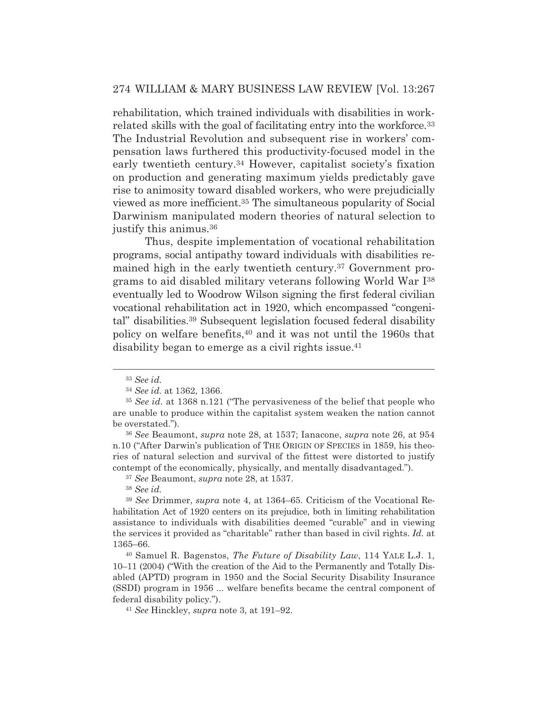rehabilitation, which trained individuals with disabilities in workrelated skills with the goal of facilitating entry into the workforce.<sup>33</sup> The Industrial Revolution and subsequent rise in workers' compensation laws furthered this productivity-focused model in the early twentieth century.34 However, capitalist society's fixation on production and generating maximum yields predictably gave rise to animosity toward disabled workers, who were prejudicially viewed as more inefficient.35 The simultaneous popularity of Social Darwinism manipulated modern theories of natural selection to justify this animus.36

 Thus, despite implementation of vocational rehabilitation programs, social antipathy toward individuals with disabilities remained high in the early twentieth century.37 Government programs to aid disabled military veterans following World War I38 eventually led to Woodrow Wilson signing the first federal civilian vocational rehabilitation act in 1920, which encompassed "congenital" disabilities.39 Subsequent legislation focused federal disability policy on welfare benefits,40 and it was not until the 1960s that disability began to emerge as a civil rights issue.<sup>41</sup>

<sup>36</sup> *See* Beaumont, *supra* note 28, at 1537; Ianacone, *supra* note 26, at 954 n.10 ("After Darwin's publication of THE ORIGIN OF SPECIES in 1859, his theories of natural selection and survival of the fittest were distorted to justify contempt of the economically, physically, and mentally disadvantaged.").

<sup>37</sup> *See* Beaumont, *supra* note 28, at 1537.

<sup>33</sup> *See id.*

<sup>34</sup> *See id.* at 1362, 1366.

<sup>35</sup> *See id.* at 1368 n.121 ("The pervasiveness of the belief that people who are unable to produce within the capitalist system weaken the nation cannot be overstated.").

<sup>38</sup> *See id.*

<sup>39</sup> *See* Drimmer, *supra* note 4, at 1364–65. Criticism of the Vocational Rehabilitation Act of 1920 centers on its prejudice, both in limiting rehabilitation assistance to individuals with disabilities deemed "curable" and in viewing the services it provided as "charitable" rather than based in civil rights. *Id.* at 1365–66.

<sup>40</sup> Samuel R. Bagenstos, *The Future of Disability Law*, 114 YALE L.J. 1, 10–11 (2004) ("With the creation of the Aid to the Permanently and Totally Disabled (APTD) program in 1950 and the Social Security Disability Insurance (SSDI) program in 1956 ... welfare benefits became the central component of federal disability policy."). 41 *See* Hinckley, *supra* note 3, at 191–92.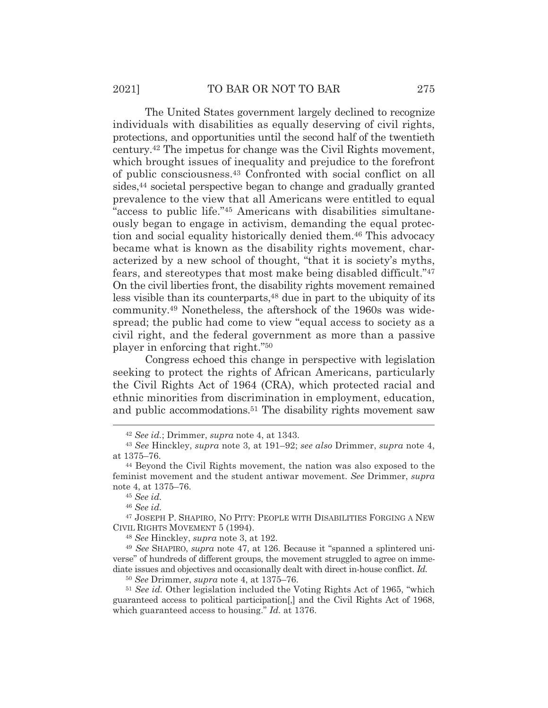The United States government largely declined to recognize individuals with disabilities as equally deserving of civil rights, protections, and opportunities until the second half of the twentieth century.42 The impetus for change was the Civil Rights movement, which brought issues of inequality and prejudice to the forefront of public consciousness.43 Confronted with social conflict on all sides,<sup>44</sup> societal perspective began to change and gradually granted prevalence to the view that all Americans were entitled to equal "access to public life."45 Americans with disabilities simultaneously began to engage in activism, demanding the equal protection and social equality historically denied them.46 This advocacy became what is known as the disability rights movement, characterized by a new school of thought, "that it is society's myths, fears, and stereotypes that most make being disabled difficult."47 On the civil liberties front, the disability rights movement remained less visible than its counterparts,<sup>48</sup> due in part to the ubiquity of its community.49 Nonetheless, the aftershock of the 1960s was widespread; the public had come to view "equal access to society as a civil right, and the federal government as more than a passive player in enforcing that right."50

 Congress echoed this change in perspective with legislation seeking to protect the rights of African Americans, particularly the Civil Rights Act of 1964 (CRA), which protected racial and ethnic minorities from discrimination in employment, education, and public accommodations.51 The disability rights movement saw

<sup>46</sup> *See id.*

47 JOSEPH P. SHAPIRO, NO PITY: PEOPLE WITH DISABILITIES FORGING A NEW CIVIL RIGHTS MOVEMENT 5 (1994).

<sup>48</sup> *See* Hinckley, *supra* note 3, at 192.

<sup>49</sup> *See* SHAPIRO, *supra* note 47, at 126. Because it "spanned a splintered universe" of hundreds of different groups, the movement struggled to agree on immediate issues and objectives and occasionally dealt with direct in-house conflict. *Id.*

<sup>50</sup> *See* Drimmer, *supra* note 4, at 1375–76.

<sup>51</sup> *See id.* Other legislation included the Voting Rights Act of 1965, "which guaranteed access to political participation[,] and the Civil Rights Act of 1968, which guaranteed access to housing." *Id.* at 1376.

<sup>42</sup> *See id.*; Drimmer, *supra* note 4, at 1343.

<sup>43</sup> *See* Hinckley, *supra* note 3, at 191–92; *see also* Drimmer, *supra* note 4, at 1375–76. 44 Beyond the Civil Rights movement, the nation was also exposed to the

feminist movement and the student antiwar movement. *See* Drimmer, *supra* note 4, at 1375–76.

<sup>45</sup> *See id.*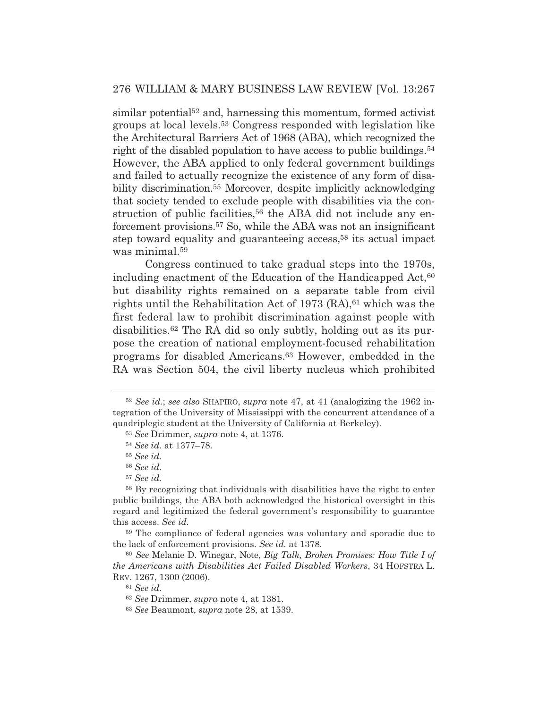$\sin$ ilar potential<sup> $52$ </sup> and, harnessing this momentum, formed activist groups at local levels.53 Congress responded with legislation like the Architectural Barriers Act of 1968 (ABA), which recognized the right of the disabled population to have access to public buildings.54 However, the ABA applied to only federal government buildings and failed to actually recognize the existence of any form of disability discrimination.55 Moreover, despite implicitly acknowledging that society tended to exclude people with disabilities via the construction of public facilities,<sup>56</sup> the ABA did not include any enforcement provisions.57 So, while the ABA was not an insignificant step toward equality and guaranteeing access,58 its actual impact was minimal.59

 Congress continued to take gradual steps into the 1970s, including enactment of the Education of the Handicapped Act,<sup>60</sup> but disability rights remained on a separate table from civil rights until the Rehabilitation Act of 1973  $(RA)$ , <sup>61</sup> which was the first federal law to prohibit discrimination against people with disabilities.62 The RA did so only subtly, holding out as its purpose the creation of national employment-focused rehabilitation programs for disabled Americans.63 However, embedded in the RA was Section 504, the civil liberty nucleus which prohibited

<sup>52</sup> *See id.*; *see also* SHAPIRO, *supra* note 47, at 41 (analogizing the 1962 integration of the University of Mississippi with the concurrent attendance of a quadriplegic student at the University of California at Berkeley).

<sup>53</sup> *See* Drimmer, *supra* note 4, at 1376.

<sup>54</sup> *See id.* at 1377–78.

<sup>55</sup> *See id.*

<sup>56</sup> *See id.*

<sup>57</sup> *See id.*

<sup>58</sup> By recognizing that individuals with disabilities have the right to enter public buildings, the ABA both acknowledged the historical oversight in this regard and legitimized the federal government's responsibility to guarantee this access. *See id.*

<sup>59</sup> The compliance of federal agencies was voluntary and sporadic due to the lack of enforcement provisions. *See id.* at 1378*.*

<sup>60</sup> *See* Melanie D. Winegar, Note, *Big Talk, Broken Promises: How Title I of the Americans with Disabilities Act Failed Disabled Workers*, 34 HOFSTRA L. REV. 1267, 1300 (2006).

<sup>61</sup> *See id.*

<sup>62</sup> *See* Drimmer, *supra* note 4, at 1381.

<sup>63</sup> *See* Beaumont, *supra* note 28, at 1539.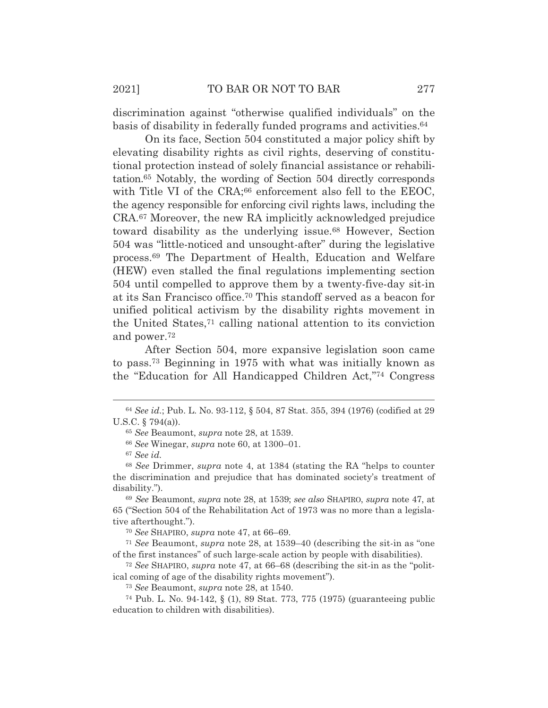discrimination against "otherwise qualified individuals" on the basis of disability in federally funded programs and activities.64

 On its face, Section 504 constituted a major policy shift by elevating disability rights as civil rights, deserving of constitutional protection instead of solely financial assistance or rehabilitation.65 Notably, the wording of Section 504 directly corresponds with Title VI of the CRA;<sup>66</sup> enforcement also fell to the EEOC, the agency responsible for enforcing civil rights laws, including the CRA.67 Moreover, the new RA implicitly acknowledged prejudice toward disability as the underlying issue.68 However, Section 504 was "little-noticed and unsought-after" during the legislative process.69 The Department of Health, Education and Welfare (HEW) even stalled the final regulations implementing section 504 until compelled to approve them by a twenty-five-day sit-in at its San Francisco office.70 This standoff served as a beacon for unified political activism by the disability rights movement in the United States,71 calling national attention to its conviction and power.72

 After Section 504, more expansive legislation soon came to pass.73 Beginning in 1975 with what was initially known as the "Education for All Handicapped Children Act,"74 Congress

<sup>66</sup> *See* Winegar, *supra* note 60, at 1300–01.

<sup>69</sup> *See* Beaumont, *supra* note 28, at 1539; *see also* SHAPIRO, *supra* note 47, at 65 ("Section 504 of the Rehabilitation Act of 1973 was no more than a legislative afterthought.").

<sup>70</sup> *See* SHAPIRO, *supra* note 47, at 66–69.

<sup>71</sup> *See* Beaumont, *supra* note 28, at 1539–40 (describing the sit-in as "one of the first instances" of such large-scale action by people with disabilities).

<sup>72</sup> *See* SHAPIRO, *supra* note 47, at 66–68 (describing the sit-in as the "political coming of age of the disability rights movement").

<sup>73</sup> *See* Beaumont, *supra* note 28, at 1540.

74 Pub. L. No. 94-142, § (1), 89 Stat. 773, 775 (1975) (guaranteeing public education to children with disabilities).

<sup>64</sup> *See id.*; Pub. L. No. 93-112, § 504, 87 Stat. 355, 394 (1976) (codified at 29 U.S.C. § 794(a)).

<sup>65</sup> *See* Beaumont, *supra* note 28, at 1539.

<sup>67</sup> *See id.*

<sup>68</sup> *See* Drimmer, *supra* note 4, at 1384 (stating the RA "helps to counter the discrimination and prejudice that has dominated society's treatment of disability.").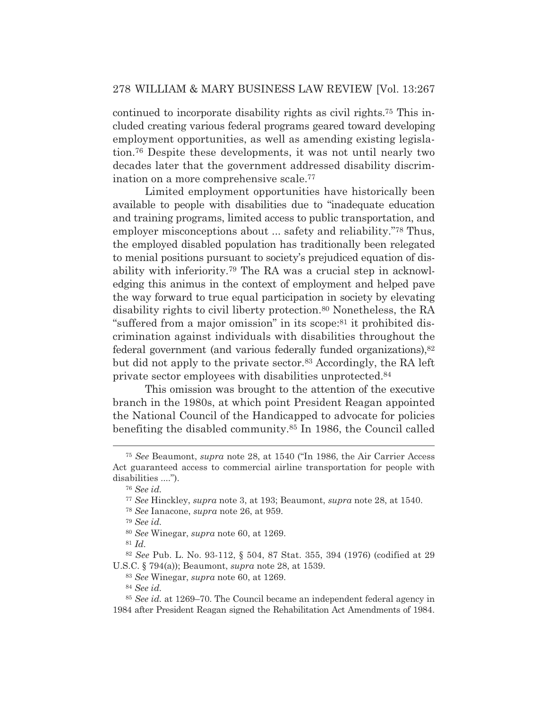continued to incorporate disability rights as civil rights.75 This included creating various federal programs geared toward developing employment opportunities, as well as amending existing legislation.76 Despite these developments, it was not until nearly two decades later that the government addressed disability discrimination on a more comprehensive scale.77

 Limited employment opportunities have historically been available to people with disabilities due to "inadequate education and training programs, limited access to public transportation, and employer misconceptions about ... safety and reliability."<sup>78</sup> Thus, the employed disabled population has traditionally been relegated to menial positions pursuant to society's prejudiced equation of disability with inferiority.79 The RA was a crucial step in acknowledging this animus in the context of employment and helped pave the way forward to true equal participation in society by elevating disability rights to civil liberty protection.80 Nonetheless, the RA "suffered from a major omission" in its scope:81 it prohibited discrimination against individuals with disabilities throughout the federal government (and various federally funded organizations),82 but did not apply to the private sector.83 Accordingly, the RA left private sector employees with disabilities unprotected.84

 This omission was brought to the attention of the executive branch in the 1980s, at which point President Reagan appointed the National Council of the Handicapped to advocate for policies benefiting the disabled community.85 In 1986, the Council called

<sup>75</sup> *See* Beaumont, *supra* note 28, at 1540 ("In 1986, the Air Carrier Access Act guaranteed access to commercial airline transportation for people with disabilities ....").

<sup>76</sup> *See id.*

<sup>77</sup> *See* Hinckley, *supra* note 3, at 193; Beaumont, *supra* note 28, at 1540.

<sup>78</sup> *See* Ianacone, *supra* note 26, at 959.

<sup>79</sup> *See id.*

<sup>80</sup> *See* Winegar, *supra* note 60, at 1269.

<sup>81</sup> *Id.*

<sup>82</sup> *See* Pub. L. No. 93-112, § 504, 87 Stat. 355, 394 (1976) (codified at 29 U.S.C. § 794(a)); Beaumont, *supra* note 28, at 1539.

<sup>83</sup> *See* Winegar, *supra* note 60, at 1269.

<sup>84</sup> *See id.*

<sup>85</sup> *See id.* at 1269–70. The Council became an independent federal agency in 1984 after President Reagan signed the Rehabilitation Act Amendments of 1984.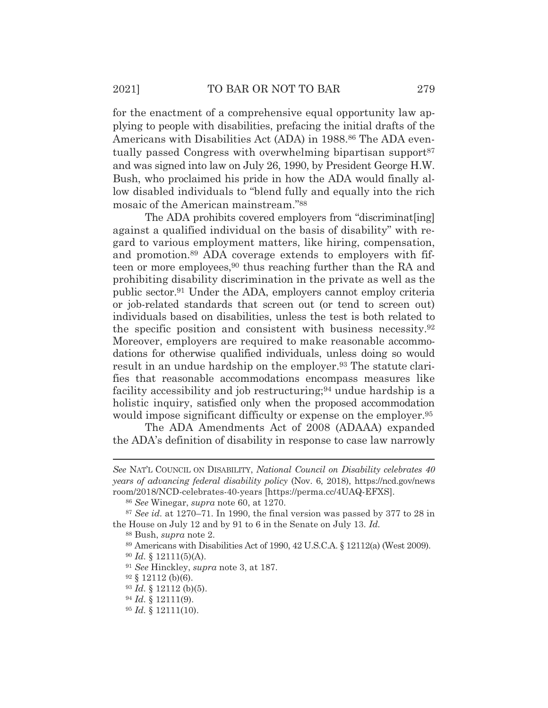for the enactment of a comprehensive equal opportunity law applying to people with disabilities, prefacing the initial drafts of the Americans with Disabilities Act (ADA) in 1988.<sup>86</sup> The ADA eventually passed Congress with overwhelming bipartisan support<sup>87</sup> and was signed into law on July 26, 1990, by President George H.W. Bush, who proclaimed his pride in how the ADA would finally allow disabled individuals to "blend fully and equally into the rich mosaic of the American mainstream."88

The ADA prohibits covered employers from "discriminat[ing] against a qualified individual on the basis of disability" with regard to various employment matters, like hiring, compensation, and promotion.89 ADA coverage extends to employers with fifteen or more employees,<sup>90</sup> thus reaching further than the RA and prohibiting disability discrimination in the private as well as the public sector.91 Under the ADA, employers cannot employ criteria or job-related standards that screen out (or tend to screen out) individuals based on disabilities, unless the test is both related to the specific position and consistent with business necessity.92 Moreover, employers are required to make reasonable accommodations for otherwise qualified individuals, unless doing so would result in an undue hardship on the employer.<sup>93</sup> The statute clarifies that reasonable accommodations encompass measures like facility accessibility and job restructuring;<sup>94</sup> undue hardship is a holistic inquiry, satisfied only when the proposed accommodation would impose significant difficulty or expense on the employer.<sup>95</sup>

 The ADA Amendments Act of 2008 (ADAAA) expanded the ADA's definition of disability in response to case law narrowly

*See* NAT'L COUNCIL ON DISABILITY, *National Council on Disability celebrates 40 years of advancing federal disability policy* (Nov. 6, 2018), https://ncd.gov/news room/2018/NCD-celebrates-40-years [https://perma.cc/4UAQ-EFXS].

<sup>86</sup> *See* Winegar, *supra* note 60, at 1270.

<sup>87</sup> *See id.* at 1270–71. In 1990, the final version was passed by 377 to 28 in the House on July 12 and by 91 to 6 in the Senate on July 13. *Id.*

<sup>88</sup> Bush, *supra* note 2.

<sup>89</sup> Americans with Disabilities Act of 1990, 42 U.S.C.A. § 12112(a) (West 2009).

<sup>90</sup> *Id.* § 12111(5)(A).

<sup>91</sup> *See* Hinckley, *supra* note 3, at 187.

 $92 \S 12112$  (b)(6).

<sup>93</sup> *Id.* § 12112 (b)(5).

<sup>94</sup> *Id.* § 12111(9).

<sup>95</sup> *Id.* § 12111(10).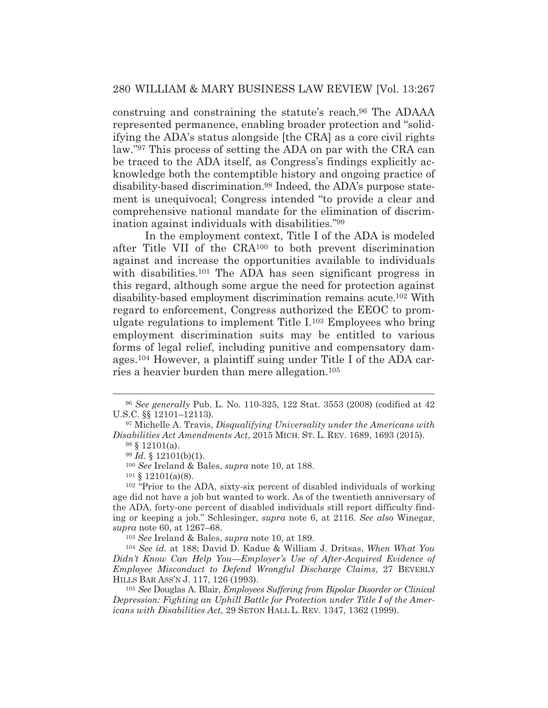construing and constraining the statute's reach.96 The ADAAA represented permanence, enabling broader protection and "solidifying the ADA's status alongside [the CRA] as a core civil rights law."97 This process of setting the ADA on par with the CRA can be traced to the ADA itself, as Congress's findings explicitly acknowledge both the contemptible history and ongoing practice of disability-based discrimination.98 Indeed, the ADA's purpose statement is unequivocal; Congress intended "to provide a clear and comprehensive national mandate for the elimination of discrimination against individuals with disabilities."99

 In the employment context, Title I of the ADA is modeled after Title VII of the CRA100 to both prevent discrimination against and increase the opportunities available to individuals with disabilities.<sup>101</sup> The ADA has seen significant progress in this regard, although some argue the need for protection against disability-based employment discrimination remains acute.102 With regard to enforcement, Congress authorized the EEOC to promulgate regulations to implement Title I.103 Employees who bring employment discrimination suits may be entitled to various forms of legal relief, including punitive and compensatory damages.104 However, a plaintiff suing under Title I of the ADA carries a heavier burden than mere allegation.105

<sup>103</sup> *See* Ireland & Bales, *supra* note 10, at 189.

<sup>96</sup> *See generally* Pub. L. No. 110-325, 122 Stat. 3553 (2008) (codified at 42 U.S.C. §§ 12101–12113).

<sup>97</sup> Michelle A. Travis, *Disqualifying Universality under the Americans with Disabilities Act Amendments Act*, 2015 MICH. ST. L. REV. 1689, 1693 (2015).

 $98 \S 12101(a)$ .

<sup>99</sup> *Id.* § 12101(b)(1).

<sup>100</sup> *See* Ireland & Bales, *supra* note 10, at 188.

 $101 \S 12101(a)(8)$ .

<sup>102 &</sup>quot;Prior to the ADA, sixty-six percent of disabled individuals of working age did not have a job but wanted to work. As of the twentieth anniversary of the ADA, forty-one percent of disabled individuals still report difficulty finding or keeping a job." Schlesinger, *supra* note 6, at 2116. *See also* Winegar, *supra* note 60, at 1267–68.

<sup>104</sup> *See id.* at 188; David D. Kadue & William J. Dritsas, *When What You*  Didn't Know Can Help You—Employer's Use of After-Acquired Evidence of *Employee Misconduct to Defend Wrongful Discharge Claims*, 27 BEVERLY HILLS BAR ASS'N J. 117, 126 (1993).

<sup>105</sup> *See* Douglas A. Blair, *Employees Suffering from Bipolar Disorder or Clinical Depression: Fighting an Uphill Battle for Protection under Title I of the Americans with Disabilities Act*, 29 SETON HALL L. REV. 1347, 1362 (1999).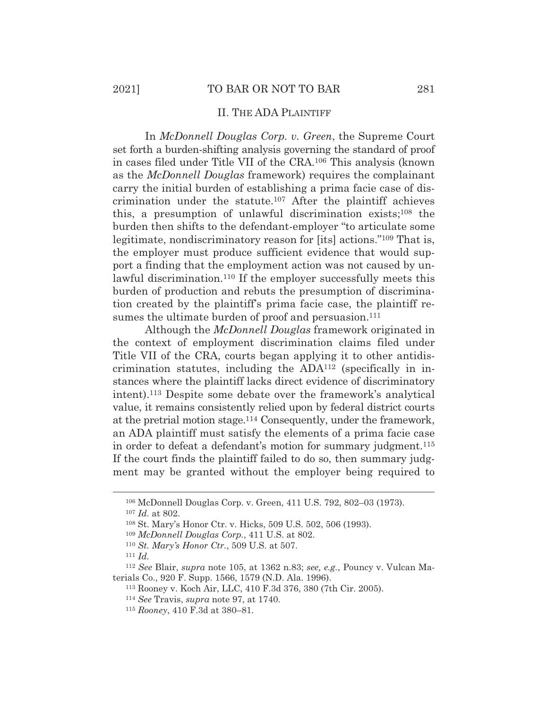#### II. THE ADA PLAINTIFF

 In *McDonnell Douglas Corp. v. Green*, the Supreme Court set forth a burden-shifting analysis governing the standard of proof in cases filed under Title VII of the CRA.106 This analysis (known as the *McDonnell Douglas* framework) requires the complainant carry the initial burden of establishing a prima facie case of discrimination under the statute.107 After the plaintiff achieves this, a presumption of unlawful discrimination exists;108 the burden then shifts to the defendant-employer "to articulate some legitimate, nondiscriminatory reason for [its] actions."109 That is, the employer must produce sufficient evidence that would support a finding that the employment action was not caused by unlawful discrimination.110 If the employer successfully meets this burden of production and rebuts the presumption of discrimination created by the plaintiff's prima facie case, the plaintiff resumes the ultimate burden of proof and persuasion.<sup>111</sup>

 Although the *McDonnell Douglas* framework originated in the context of employment discrimination claims filed under Title VII of the CRA, courts began applying it to other antidiscrimination statutes, including the ADA112 (specifically in instances where the plaintiff lacks direct evidence of discriminatory intent).113 Despite some debate over the framework's analytical value, it remains consistently relied upon by federal district courts at the pretrial motion stage.114 Consequently, under the framework, an ADA plaintiff must satisfy the elements of a prima facie case in order to defeat a defendant's motion for summary judgment.<sup>115</sup> If the court finds the plaintiff failed to do so, then summary judgment may be granted without the employer being required to

<sup>106</sup> McDonnell Douglas Corp. v. Green, 411 U.S. 792, 802–03 (1973).

<sup>107</sup> *Id.* at 802.

<sup>108</sup> St. Mary's Honor Ctr. v. Hicks, 509 U.S. 502, 506 (1993).

<sup>109</sup> *McDonnell Douglas Corp.*, 411 U.S. at 802.

<sup>110</sup> *St. Mary's Honor Ctr.*, 509 U.S. at 507. 111 *Id.*

<sup>112</sup> *See* Blair, *supra* note 105, at 1362 n.83; *see, e.g.*, Pouncy v. Vulcan Materials Co., 920 F. Supp. 1566, 1579 (N.D. Ala. 1996).

<sup>113</sup> Rooney v. Koch Air, LLC, 410 F.3d 376, 380 (7th Cir. 2005). 114 *See* Travis, *supra* note 97, at 1740.

<sup>115</sup> *Rooney*, 410 F.3d at 380–81.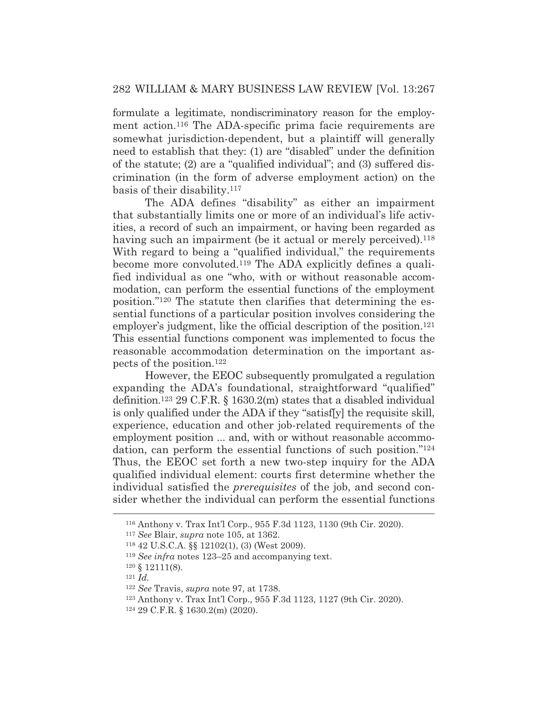formulate a legitimate, nondiscriminatory reason for the employment action.116 The ADA-specific prima facie requirements are somewhat jurisdiction-dependent, but a plaintiff will generally need to establish that they: (1) are "disabled" under the definition of the statute; (2) are a "qualified individual"; and (3) suffered discrimination (in the form of adverse employment action) on the basis of their disability.117

 The ADA defines "disability" as either an impairment that substantially limits one or more of an individual's life activities, a record of such an impairment, or having been regarded as having such an impairment (be it actual or merely perceived).<sup>118</sup> With regard to being a "qualified individual," the requirements become more convoluted.119 The ADA explicitly defines a qualified individual as one "who, with or without reasonable accommodation, can perform the essential functions of the employment position."120 The statute then clarifies that determining the essential functions of a particular position involves considering the employer's judgment, like the official description of the position.<sup>121</sup> This essential functions component was implemented to focus the reasonable accommodation determination on the important aspects of the position.122

 However, the EEOC subsequently promulgated a regulation expanding the ADA's foundational, straightforward "qualified" definition.123 29 C.F.R. § 1630.2(m) states that a disabled individual is only qualified under the ADA if they "satisf[y] the requisite skill, experience, education and other job-related requirements of the employment position ... and, with or without reasonable accommodation, can perform the essential functions of such position."124 Thus, the EEOC set forth a new two-step inquiry for the ADA qualified individual element: courts first determine whether the individual satisfied the *prerequisites* of the job, and second consider whether the individual can perform the essential functions

<sup>116</sup> Anthony v. Trax Int'l Corp., 955 F.3d 1123, 1130 (9th Cir. 2020).

<sup>117</sup> *See* Blair, *supra* note 105, at 1362.

<sup>118 42</sup> U.S.C.A. §§ 12102(1), (3) (West 2009).

<sup>119</sup> *See infra* notes 123–25 and accompanying text.

<sup>120 § 12111(8). 121</sup> *Id.*

<sup>122</sup> *See* Travis, *supra* note 97, at 1738.

<sup>123</sup> Anthony v. Trax Int'l Corp., 955 F.3d 1123, 1127 (9th Cir. 2020). 124 29 C.F.R. § 1630.2(m) (2020).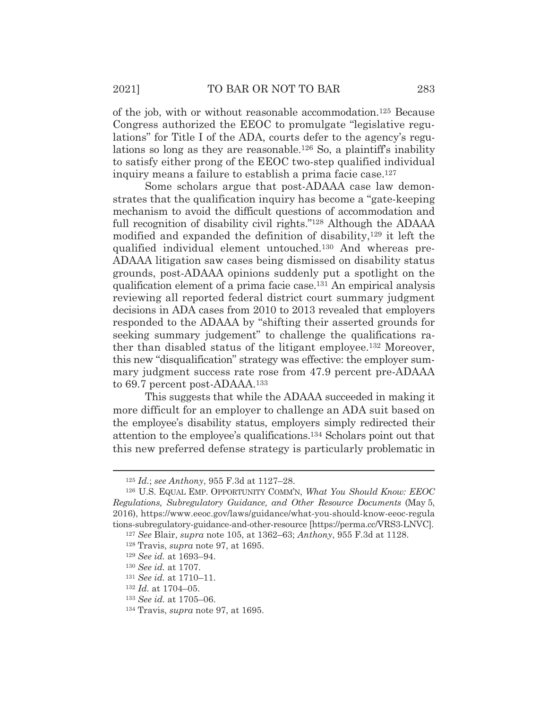of the job, with or without reasonable accommodation.125 Because Congress authorized the EEOC to promulgate "legislative regulations" for Title I of the ADA, courts defer to the agency's regulations so long as they are reasonable.<sup>126</sup> So, a plaintiff's inability to satisfy either prong of the EEOC two-step qualified individual inquiry means a failure to establish a prima facie case.127

 Some scholars argue that post-ADAAA case law demonstrates that the qualification inquiry has become a "gate-keeping mechanism to avoid the difficult questions of accommodation and full recognition of disability civil rights."128 Although the ADAAA modified and expanded the definition of disability,129 it left the qualified individual element untouched.130 And whereas pre-ADAAA litigation saw cases being dismissed on disability status grounds, post-ADAAA opinions suddenly put a spotlight on the qualification element of a prima facie case.131 An empirical analysis reviewing all reported federal district court summary judgment decisions in ADA cases from 2010 to 2013 revealed that employers responded to the ADAAA by "shifting their asserted grounds for seeking summary judgement" to challenge the qualifications rather than disabled status of the litigant employee.132 Moreover, this new "disqualification" strategy was effective: the employer summary judgment success rate rose from 47.9 percent pre-ADAAA to 69.7 percent post-ADAAA.133

 This suggests that while the ADAAA succeeded in making it more difficult for an employer to challenge an ADA suit based on the employee's disability status, employers simply redirected their attention to the employee's qualifications.134 Scholars point out that this new preferred defense strategy is particularly problematic in

<sup>125</sup> *Id.*; *see Anthony*, 955 F.3d at 1127–28.

<sup>126</sup> U.S. EQUAL EMP. OPPORTUNITY COMM'N, *What You Should Know: EEOC Regulations, Subregulatory Guidance, and Other Resource Documents* (May 5, 2016), https://www.eeoc.gov/laws/guidance/what-you-should-know-eeoc-regula tions-subregulatory-guidance-and-other-resource [https://perma.cc/VRS3-LNVC].

<sup>127</sup> *See* Blair, *supra* note 105, at 1362–63; *Anthony*, 955 F.3d at 1128.

<sup>128</sup> Travis, *supra* note 97, at 1695.

<sup>129</sup> *See id.* at 1693–94.

<sup>130</sup> *See id.* at 1707.

<sup>131</sup> *See id.* at 1710–11.

<sup>132</sup> *Id.* at 1704–05.

<sup>133</sup> *See id.* at 1705–06.

<sup>134</sup> Travis, *supra* note 97, at 1695.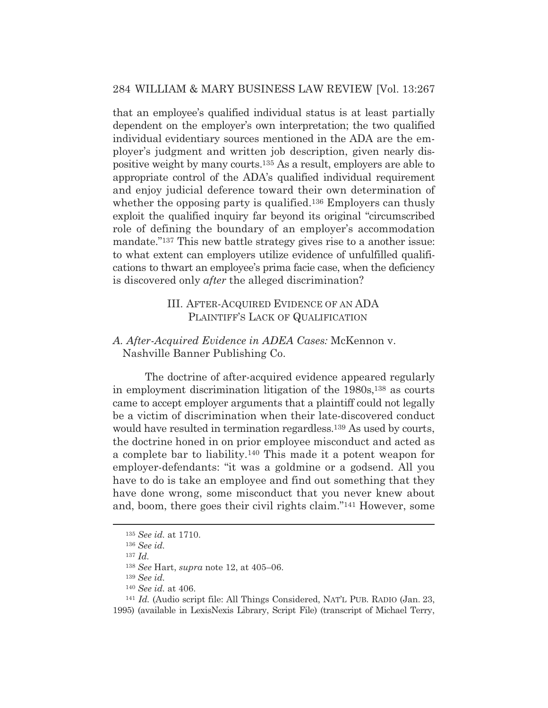that an employee's qualified individual status is at least partially dependent on the employer's own interpretation; the two qualified individual evidentiary sources mentioned in the ADA are the employer's judgment and written job description, given nearly dispositive weight by many courts.135 As a result, employers are able to appropriate control of the ADA's qualified individual requirement and enjoy judicial deference toward their own determination of whether the opposing party is qualified.<sup>136</sup> Employers can thusly exploit the qualified inquiry far beyond its original "circumscribed role of defining the boundary of an employer's accommodation mandate."137 This new battle strategy gives rise to a another issue: to what extent can employers utilize evidence of unfulfilled qualifications to thwart an employee's prima facie case, when the deficiency is discovered only *after* the alleged discrimination?

## III. AFTER-ACQUIRED EVIDENCE OF AN ADA PLAINTIFF'S LACK OF QUALIFICATION

## *A. After-Acquired Evidence in ADEA Cases:* McKennon v. Nashville Banner Publishing Co.

 The doctrine of after-acquired evidence appeared regularly in employment discrimination litigation of the 1980s,<sup>138</sup> as courts came to accept employer arguments that a plaintiff could not legally be a victim of discrimination when their late-discovered conduct would have resulted in termination regardless.139 As used by courts, the doctrine honed in on prior employee misconduct and acted as a complete bar to liability.140 This made it a potent weapon for employer-defendants: "it was a goldmine or a godsend. All you have to do is take an employee and find out something that they have done wrong, some misconduct that you never knew about and, boom, there goes their civil rights claim."141 However, some

<sup>135</sup> *See id.* at 1710.

<sup>136</sup> *See id.*

<sup>137</sup> *Id.*

<sup>138</sup> *See* Hart, *supra* note 12, at 405–06.

<sup>139</sup> *See id.*

<sup>&</sup>lt;sup>140</sup> *See id.* at 406.<br><sup>141</sup> *Id.* (Audio script file: All Things Considered, NAT'L PUB. RADIO (Jan. 23, 1995) (available in LexisNexis Library, Script File) (transcript of Michael Terry,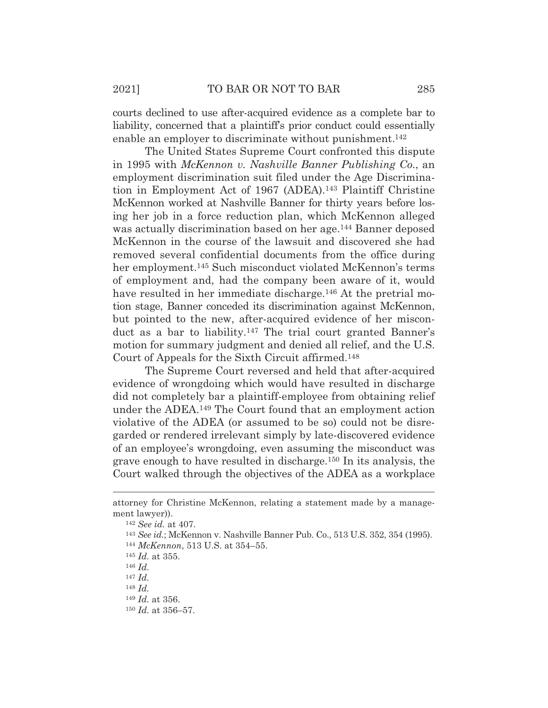courts declined to use after-acquired evidence as a complete bar to liability, concerned that a plaintiff's prior conduct could essentially enable an employer to discriminate without punishment.<sup>142</sup>

 The United States Supreme Court confronted this dispute in 1995 with *McKennon v. Nashville Banner Publishing Co.*, an employment discrimination suit filed under the Age Discrimination in Employment Act of 1967 (ADEA).143 Plaintiff Christine McKennon worked at Nashville Banner for thirty years before losing her job in a force reduction plan, which McKennon alleged was actually discrimination based on her age.<sup>144</sup> Banner deposed McKennon in the course of the lawsuit and discovered she had removed several confidential documents from the office during her employment.<sup>145</sup> Such misconduct violated McKennon's terms of employment and, had the company been aware of it, would have resulted in her immediate discharge.<sup>146</sup> At the pretrial motion stage, Banner conceded its discrimination against McKennon, but pointed to the new, after-acquired evidence of her misconduct as a bar to liability.147 The trial court granted Banner's motion for summary judgment and denied all relief, and the U.S. Court of Appeals for the Sixth Circuit affirmed.148

 The Supreme Court reversed and held that after-acquired evidence of wrongdoing which would have resulted in discharge did not completely bar a plaintiff-employee from obtaining relief under the ADEA.149 The Court found that an employment action violative of the ADEA (or assumed to be so) could not be disregarded or rendered irrelevant simply by late-discovered evidence of an employee's wrongdoing, even assuming the misconduct was grave enough to have resulted in discharge.150 In its analysis, the Court walked through the objectives of the ADEA as a workplace

attorney for Christine McKennon, relating a statement made by a management lawyer)). 142 *See id.* at 407.

<sup>143</sup> *See id.*; McKennon v. Nashville Banner Pub. Co., 513 U.S. 352, 354 (1995). 144 *McKennon*, 513 U.S. at 354–55.

<sup>145</sup> *Id.* at 355.

<sup>146</sup> *Id.*

<sup>147</sup> *Id.* <sup>148</sup> *Id.*

<sup>149</sup> *Id.* at 356.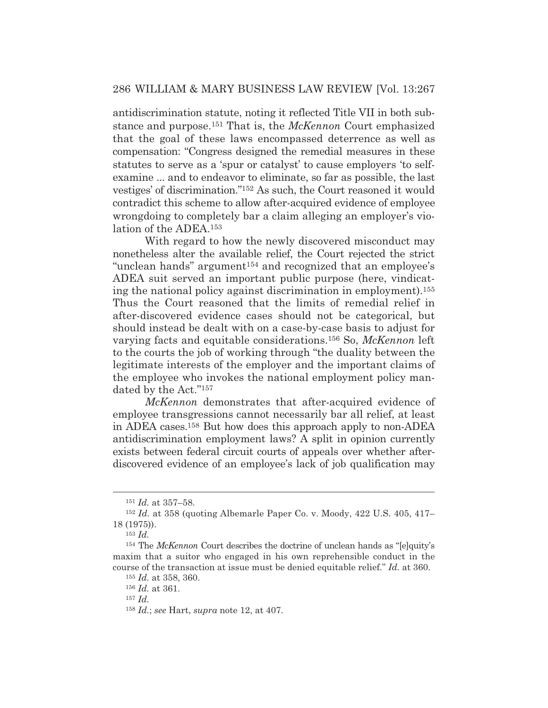antidiscrimination statute, noting it reflected Title VII in both substance and purpose.151 That is, the *McKennon* Court emphasized that the goal of these laws encompassed deterrence as well as compensation: "Congress designed the remedial measures in these statutes to serve as a 'spur or catalyst' to cause employers 'to selfexamine ... and to endeavor to eliminate, so far as possible, the last vestiges' of discrimination."152 As such, the Court reasoned it would contradict this scheme to allow after-acquired evidence of employee wrongdoing to completely bar a claim alleging an employer's violation of the ADEA.153

 With regard to how the newly discovered misconduct may nonetheless alter the available relief, the Court rejected the strict "unclean hands" argument154 and recognized that an employee's ADEA suit served an important public purpose (here, vindicating the national policy against discrimination in employment).155 Thus the Court reasoned that the limits of remedial relief in after-discovered evidence cases should not be categorical, but should instead be dealt with on a case-by-case basis to adjust for varying facts and equitable considerations.156 So, *McKennon* left to the courts the job of working through "the duality between the legitimate interests of the employer and the important claims of the employee who invokes the national employment policy mandated by the Act."157

*McKennon* demonstrates that after-acquired evidence of employee transgressions cannot necessarily bar all relief, at least in ADEA cases.158 But how does this approach apply to non-ADEA antidiscrimination employment laws? A split in opinion currently exists between federal circuit courts of appeals over whether afterdiscovered evidence of an employee's lack of job qualification may

<sup>157</sup> *Id.*

<sup>151</sup> *Id.* at 357–58.

<sup>152</sup> *Id.* at 358 (quoting Albemarle Paper Co. v. Moody, 422 U.S. 405, 417– 18 (1975)).

<sup>153</sup> *Id.*

<sup>154</sup> The *McKennon* Court describes the doctrine of unclean hands as "[e]quity's maxim that a suitor who engaged in his own reprehensible conduct in the course of the transaction at issue must be denied equitable relief." *Id.* at 360.

<sup>155</sup> *Id.* at 358, 360.

<sup>156</sup> *Id.* at 361.

<sup>158</sup> *Id.*; *see* Hart, *supra* note 12, at 407.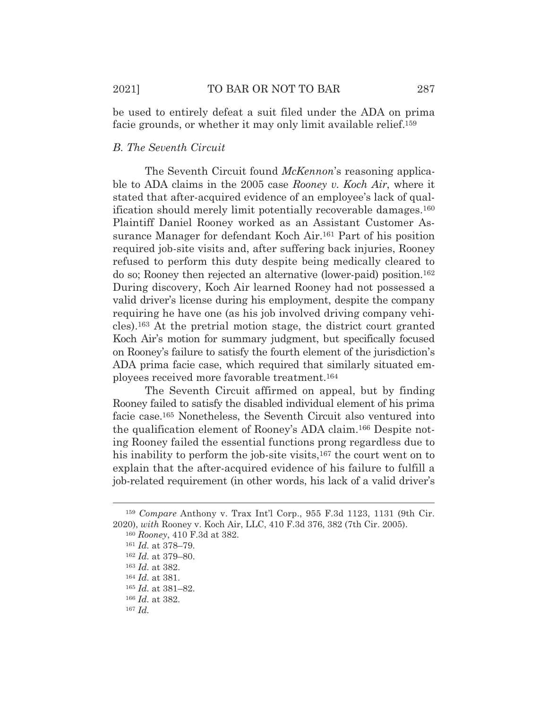be used to entirely defeat a suit filed under the ADA on prima facie grounds, or whether it may only limit available relief.159

## *B. The Seventh Circuit*

 The Seventh Circuit found *McKennon*'s reasoning applicable to ADA claims in the 2005 case *Rooney v. Koch Air*, where it stated that after-acquired evidence of an employee's lack of qualification should merely limit potentially recoverable damages.160 Plaintiff Daniel Rooney worked as an Assistant Customer Assurance Manager for defendant Koch Air.161 Part of his position required job-site visits and, after suffering back injuries, Rooney refused to perform this duty despite being medically cleared to do so; Rooney then rejected an alternative (lower-paid) position.162 During discovery, Koch Air learned Rooney had not possessed a valid driver's license during his employment, despite the company requiring he have one (as his job involved driving company vehicles).163 At the pretrial motion stage, the district court granted Koch Air's motion for summary judgment, but specifically focused on Rooney's failure to satisfy the fourth element of the jurisdiction's ADA prima facie case, which required that similarly situated employees received more favorable treatment.164

 The Seventh Circuit affirmed on appeal, but by finding Rooney failed to satisfy the disabled individual element of his prima facie case.165 Nonetheless, the Seventh Circuit also ventured into the qualification element of Rooney's ADA claim.166 Despite noting Rooney failed the essential functions prong regardless due to his inability to perform the job-site visits,<sup>167</sup> the court went on to explain that the after-acquired evidence of his failure to fulfill a job-related requirement (in other words, his lack of a valid driver's

<sup>159</sup> *Compare* Anthony v. Trax Int'l Corp., 955 F.3d 1123, 1131 (9th Cir. 2020), *with* Rooney v. Koch Air, LLC, 410 F.3d 376, 382 (7th Cir. 2005).

<sup>160</sup> *Rooney*, 410 F.3d at 382.

<sup>161</sup> *Id.* at 378–79.

<sup>162</sup> *Id.* at 379–80.

<sup>163</sup> *Id.* at 382.

<sup>164</sup> *Id.* at 381.

<sup>165</sup> *Id.* at 381–82.

<sup>166</sup> *Id.* at 382.

<sup>167</sup> *Id.*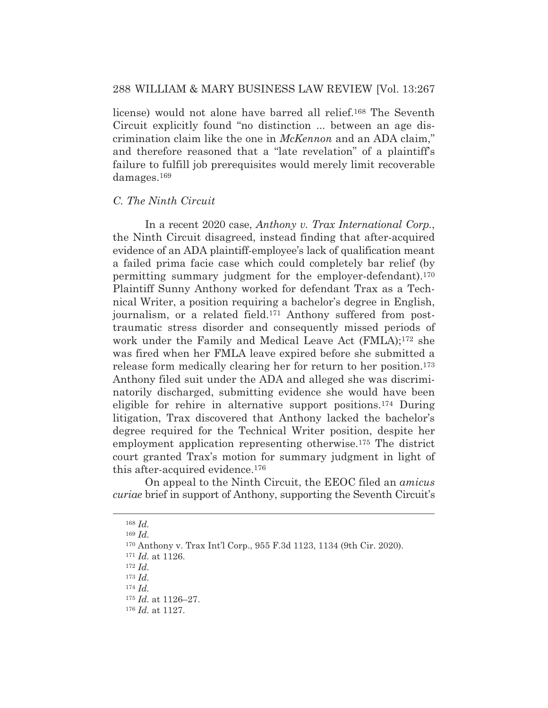## 288 WILLIAM & MARY BUSINESS LAW REVIEW [Vol. 13:267

license) would not alone have barred all relief.168 The Seventh Circuit explicitly found "no distinction ... between an age discrimination claim like the one in *McKennon* and an ADA claim," and therefore reasoned that a "late revelation" of a plaintiff's failure to fulfill job prerequisites would merely limit recoverable damages.169

### *C. The Ninth Circuit*

 In a recent 2020 case, *Anthony v. Trax International Corp.*, the Ninth Circuit disagreed, instead finding that after-acquired evidence of an ADA plaintiff-employee's lack of qualification meant a failed prima facie case which could completely bar relief (by permitting summary judgment for the employer-defendant).170 Plaintiff Sunny Anthony worked for defendant Trax as a Technical Writer, a position requiring a bachelor's degree in English, journalism, or a related field.<sup>171</sup> Anthony suffered from posttraumatic stress disorder and consequently missed periods of work under the Family and Medical Leave Act (FMLA);172 she was fired when her FMLA leave expired before she submitted a release form medically clearing her for return to her position.173 Anthony filed suit under the ADA and alleged she was discriminatorily discharged, submitting evidence she would have been eligible for rehire in alternative support positions.174 During litigation, Trax discovered that Anthony lacked the bachelor's degree required for the Technical Writer position, despite her employment application representing otherwise.175 The district court granted Trax's motion for summary judgment in light of this after-acquired evidence.176

 On appeal to the Ninth Circuit, the EEOC filed an *amicus curiae* brief in support of Anthony, supporting the Seventh Circuit's

<sup>169</sup> *Id.*

<sup>168</sup> *Id.*

<sup>170</sup> Anthony v. Trax Int'l Corp., 955 F.3d 1123, 1134 (9th Cir. 2020).

<sup>171</sup> *Id.* at 1126.

<sup>172</sup> *Id.*

<sup>173</sup> *Id.*

<sup>174</sup> *Id.*

<sup>175</sup> *Id.* at 1126–27.

<sup>176</sup> *Id.* at 1127.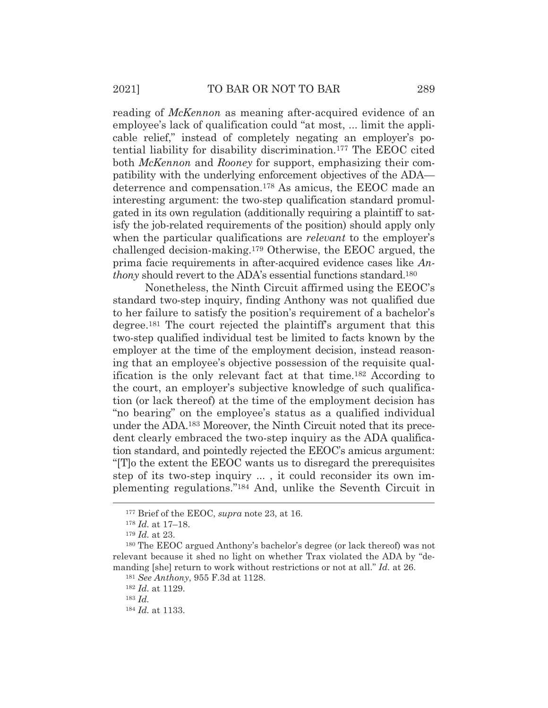reading of *McKennon* as meaning after-acquired evidence of an employee's lack of qualification could "at most, ... limit the applicable relief," instead of completely negating an employer's potential liability for disability discrimination.177 The EEOC cited both *McKennon* and *Rooney* for support, emphasizing their compatibility with the underlying enforcement objectives of the ADA deterrence and compensation.178 As amicus, the EEOC made an interesting argument: the two-step qualification standard promulgated in its own regulation (additionally requiring a plaintiff to satisfy the job-related requirements of the position) should apply only when the particular qualifications are *relevant* to the employer's challenged decision-making.179 Otherwise, the EEOC argued, the prima facie requirements in after-acquired evidence cases like *Anthony* should revert to the ADA's essential functions standard.<sup>180</sup>

 Nonetheless, the Ninth Circuit affirmed using the EEOC's standard two-step inquiry, finding Anthony was not qualified due to her failure to satisfy the position's requirement of a bachelor's degree.181 The court rejected the plaintiff's argument that this two-step qualified individual test be limited to facts known by the employer at the time of the employment decision, instead reasoning that an employee's objective possession of the requisite qualification is the only relevant fact at that time.182 According to the court, an employer's subjective knowledge of such qualification (or lack thereof) at the time of the employment decision has "no bearing" on the employee's status as a qualified individual under the ADA.183 Moreover, the Ninth Circuit noted that its precedent clearly embraced the two-step inquiry as the ADA qualification standard, and pointedly rejected the EEOC's amicus argument: "[T]o the extent the EEOC wants us to disregard the prerequisites step of its two-step inquiry ... , it could reconsider its own implementing regulations."184 And, unlike the Seventh Circuit in

<sup>177</sup> Brief of the EEOC, *supra* note 23, at 16.

<sup>178</sup> *Id.* at 17–18.

<sup>179</sup> *Id.* at 23.

<sup>180</sup> The EEOC argued Anthony's bachelor's degree (or lack thereof) was not relevant because it shed no light on whether Trax violated the ADA by "demanding [she] return to work without restrictions or not at all." *Id.* at 26.

<sup>181</sup> *See Anthony*, 955 F.3d at 1128.

<sup>182</sup> *Id.* at 1129.

<sup>183</sup> *Id.*

<sup>184</sup> *Id.* at 1133.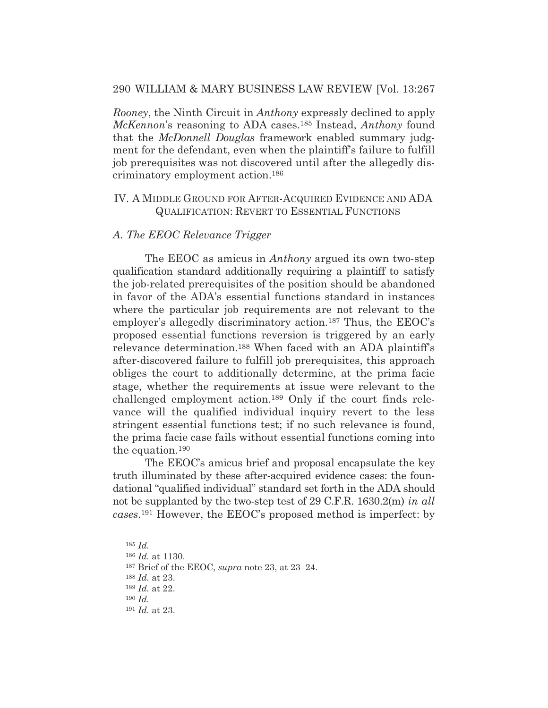## 290 WILLIAM & MARY BUSINESS LAW REVIEW [Vol. 13:267

*Rooney*, the Ninth Circuit in *Anthony* expressly declined to apply *McKennon*'s reasoning to ADA cases.185 Instead, *Anthony* found that the *McDonnell Douglas* framework enabled summary judgment for the defendant, even when the plaintiff's failure to fulfill job prerequisites was not discovered until after the allegedly discriminatory employment action.186

## IV. A MIDDLE GROUND FOR AFTER-ACQUIRED EVIDENCE AND ADA QUALIFICATION: REVERT TO ESSENTIAL FUNCTIONS

#### *A. The EEOC Relevance Trigger*

 The EEOC as amicus in *Anthony* argued its own two-step qualification standard additionally requiring a plaintiff to satisfy the job-related prerequisites of the position should be abandoned in favor of the ADA's essential functions standard in instances where the particular job requirements are not relevant to the employer's allegedly discriminatory action.187 Thus, the EEOC's proposed essential functions reversion is triggered by an early relevance determination.188 When faced with an ADA plaintiff's after-discovered failure to fulfill job prerequisites, this approach obliges the court to additionally determine, at the prima facie stage, whether the requirements at issue were relevant to the challenged employment action.189 Only if the court finds relevance will the qualified individual inquiry revert to the less stringent essential functions test; if no such relevance is found, the prima facie case fails without essential functions coming into the equation.190

 The EEOC's amicus brief and proposal encapsulate the key truth illuminated by these after-acquired evidence cases: the foundational "qualified individual" standard set forth in the ADA should not be supplanted by the two-step test of 29 C.F.R. 1630.2(m) *in all cases*.191 However, the EEOC's proposed method is imperfect: by

<sup>188</sup> *Id.* at 23.

<sup>185</sup> *Id.*

<sup>186</sup> *Id.* at 1130.

<sup>187</sup> Brief of the EEOC, *supra* note 23, at 23–24.

<sup>189</sup> *Id.* at 22.

<sup>190</sup> *Id.*

<sup>191</sup> *Id.* at 23.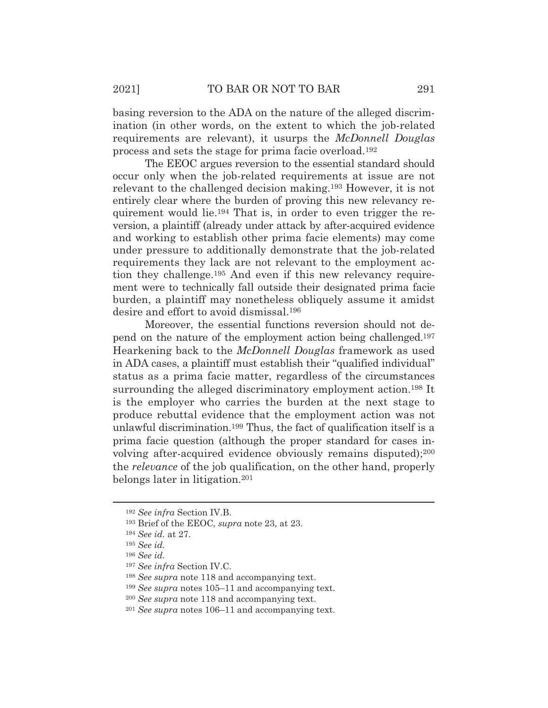basing reversion to the ADA on the nature of the alleged discrimination (in other words, on the extent to which the job-related requirements are relevant), it usurps the *McDonnell Douglas* process and sets the stage for prima facie overload.192

 The EEOC argues reversion to the essential standard should occur only when the job-related requirements at issue are not relevant to the challenged decision making.193 However, it is not entirely clear where the burden of proving this new relevancy requirement would lie.194 That is, in order to even trigger the reversion, a plaintiff (already under attack by after-acquired evidence and working to establish other prima facie elements) may come under pressure to additionally demonstrate that the job-related requirements they lack are not relevant to the employment action they challenge.195 And even if this new relevancy requirement were to technically fall outside their designated prima facie burden, a plaintiff may nonetheless obliquely assume it amidst desire and effort to avoid dismissal.196

 Moreover, the essential functions reversion should not depend on the nature of the employment action being challenged.197 Hearkening back to the *McDonnell Douglas* framework as used in ADA cases, a plaintiff must establish their "qualified individual" status as a prima facie matter, regardless of the circumstances surrounding the alleged discriminatory employment action.<sup>198</sup> It is the employer who carries the burden at the next stage to produce rebuttal evidence that the employment action was not unlawful discrimination.199 Thus, the fact of qualification itself is a prima facie question (although the proper standard for cases involving after-acquired evidence obviously remains disputed);200 the *relevance* of the job qualification, on the other hand, properly belongs later in litigation.201

<sup>192</sup> *See infra* Section IV.B.

<sup>193</sup> Brief of the EEOC, *supra* note 23, at 23.

<sup>194</sup> *See id.* at 27.

<sup>195</sup> *See id.*

<sup>196</sup> *See id.*

<sup>197</sup> *See infra* Section IV.C.

<sup>198</sup> *See supra* note 118 and accompanying text.

<sup>199</sup> *See supra* notes 105–11 and accompanying text.

<sup>200</sup> *See supra* note 118 and accompanying text.

<sup>201</sup> *See supra* notes 106–11 and accompanying text.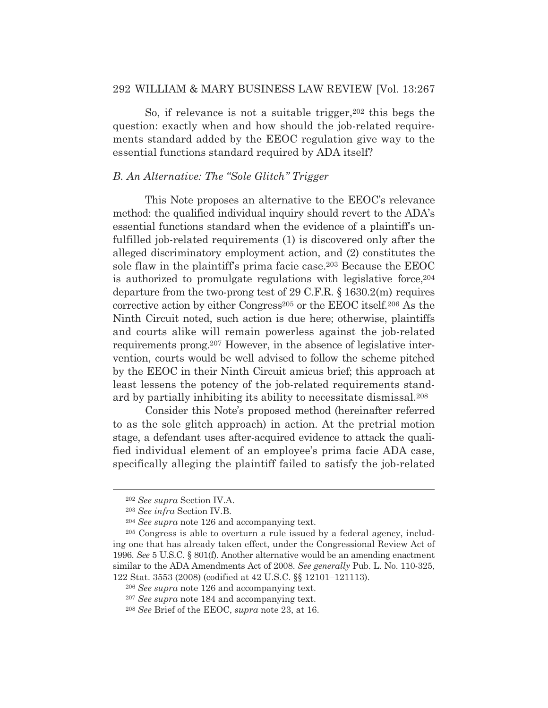## 292 WILLIAM & MARY BUSINESS LAW REVIEW [Vol. 13:267

So, if relevance is not a suitable trigger,  $202$  this begs the question: exactly when and how should the job-related requirements standard added by the EEOC regulation give way to the essential functions standard required by ADA itself?

### *B. An Alternative: The "Sole Glitch" Trigger*

 This Note proposes an alternative to the EEOC's relevance method: the qualified individual inquiry should revert to the ADA's essential functions standard when the evidence of a plaintiff's unfulfilled job-related requirements (1) is discovered only after the alleged discriminatory employment action, and (2) constitutes the sole flaw in the plaintiff's prima facie case.203 Because the EEOC is authorized to promulgate regulations with legislative force,  $204$ departure from the two-prong test of 29 C.F.R. § 1630.2(m) requires corrective action by either Congress<sup>205</sup> or the EEOC itself.<sup>206</sup> As the Ninth Circuit noted, such action is due here; otherwise, plaintiffs and courts alike will remain powerless against the job-related requirements prong.207 However, in the absence of legislative intervention, courts would be well advised to follow the scheme pitched by the EEOC in their Ninth Circuit amicus brief; this approach at least lessens the potency of the job-related requirements standard by partially inhibiting its ability to necessitate dismissal.208

 Consider this Note's proposed method (hereinafter referred to as the sole glitch approach) in action. At the pretrial motion stage, a defendant uses after-acquired evidence to attack the qualified individual element of an employee's prima facie ADA case, specifically alleging the plaintiff failed to satisfy the job-related

<sup>202</sup> *See supra* Section IV.A.

<sup>203</sup> *See infra* Section IV.B.

<sup>204</sup> *See supra* note 126 and accompanying text.

<sup>205</sup> Congress is able to overturn a rule issued by a federal agency, including one that has already taken effect, under the Congressional Review Act of 1996. *See* 5 U.S.C. § 801(f). Another alternative would be an amending enactment similar to the ADA Amendments Act of 2008. *See generally* Pub. L. No. 110-325, 122 Stat. 3553 (2008) (codified at 42 U.S.C. §§ 12101–121113).

<sup>206</sup> *See supra* note 126 and accompanying text.

<sup>207</sup> *See supra* note 184 and accompanying text.

<sup>208</sup> *See* Brief of the EEOC, *supra* note 23, at 16.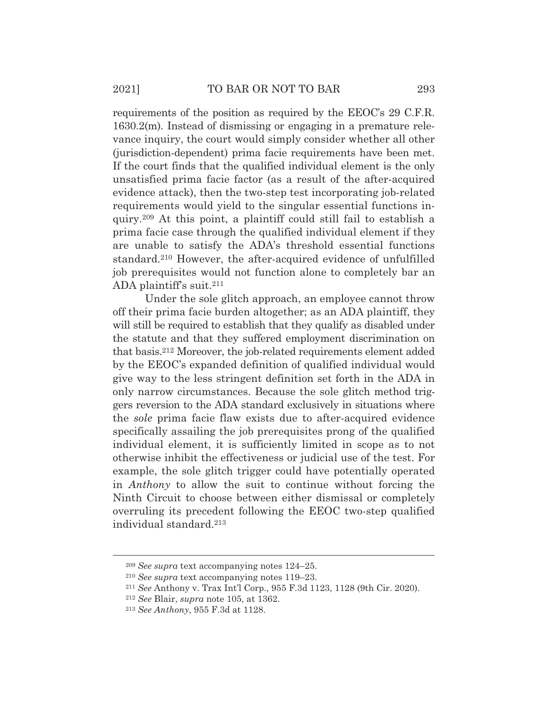requirements of the position as required by the EEOC's 29 C.F.R. 1630.2(m). Instead of dismissing or engaging in a premature relevance inquiry, the court would simply consider whether all other (jurisdiction-dependent) prima facie requirements have been met. If the court finds that the qualified individual element is the only unsatisfied prima facie factor (as a result of the after-acquired evidence attack), then the two-step test incorporating job-related requirements would yield to the singular essential functions inquiry.209 At this point, a plaintiff could still fail to establish a prima facie case through the qualified individual element if they are unable to satisfy the ADA's threshold essential functions standard.210 However, the after-acquired evidence of unfulfilled job prerequisites would not function alone to completely bar an ADA plaintiff's suit.211

 Under the sole glitch approach, an employee cannot throw off their prima facie burden altogether; as an ADA plaintiff, they will still be required to establish that they qualify as disabled under the statute and that they suffered employment discrimination on that basis.212 Moreover, the job-related requirements element added by the EEOC's expanded definition of qualified individual would give way to the less stringent definition set forth in the ADA in only narrow circumstances. Because the sole glitch method triggers reversion to the ADA standard exclusively in situations where the *sole* prima facie flaw exists due to after-acquired evidence specifically assailing the job prerequisites prong of the qualified individual element, it is sufficiently limited in scope as to not otherwise inhibit the effectiveness or judicial use of the test. For example, the sole glitch trigger could have potentially operated in *Anthony* to allow the suit to continue without forcing the Ninth Circuit to choose between either dismissal or completely overruling its precedent following the EEOC two-step qualified individual standard.213

<sup>209</sup> *See supra* text accompanying notes 124–25.

<sup>210</sup> *See supra* text accompanying notes 119–23. 211 *See* Anthony v. Trax Int'l Corp., 955 F.3d 1123, 1128 (9th Cir. 2020). 212 *See* Blair, *supra* note 105, at 1362.

<sup>213</sup> *See Anthony*, 955 F.3d at 1128.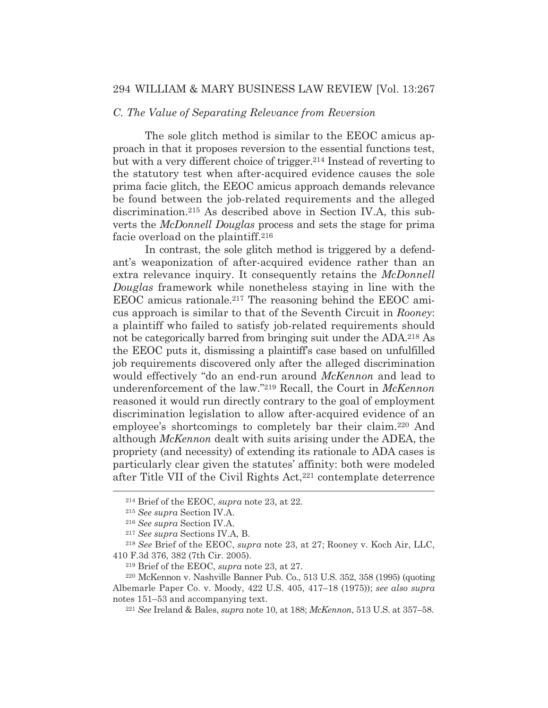## 294 WILLIAM & MARY BUSINESS LAW REVIEW [Vol. 13:267

## *C. The Value of Separating Relevance from Reversion*

 The sole glitch method is similar to the EEOC amicus approach in that it proposes reversion to the essential functions test, but with a very different choice of trigger.214 Instead of reverting to the statutory test when after-acquired evidence causes the sole prima facie glitch, the EEOC amicus approach demands relevance be found between the job-related requirements and the alleged discrimination.215 As described above in Section IV.A, this subverts the *McDonnell Douglas* process and sets the stage for prima facie overload on the plaintiff.216

 In contrast, the sole glitch method is triggered by a defendant's weaponization of after-acquired evidence rather than an extra relevance inquiry. It consequently retains the *McDonnell Douglas* framework while nonetheless staying in line with the EEOC amicus rationale.217 The reasoning behind the EEOC amicus approach is similar to that of the Seventh Circuit in *Rooney*: a plaintiff who failed to satisfy job-related requirements should not be categorically barred from bringing suit under the ADA.<sup>218</sup> As the EEOC puts it, dismissing a plaintiff's case based on unfulfilled job requirements discovered only after the alleged discrimination would effectively "do an end-run around *McKennon* and lead to underenforcement of the law."219 Recall, the Court in *McKennon* reasoned it would run directly contrary to the goal of employment discrimination legislation to allow after-acquired evidence of an employee's shortcomings to completely bar their claim.220 And although *McKennon* dealt with suits arising under the ADEA, the propriety (and necessity) of extending its rationale to ADA cases is particularly clear given the statutes' affinity: both were modeled after Title VII of the Civil Rights Act,221 contemplate deterrence

<sup>214</sup> Brief of the EEOC, *supra* note 23, at 22.

<sup>215</sup> *See supra* Section IV.A.

<sup>216</sup> *See supra* Section IV.A.

<sup>217</sup> *See supra* Sections IV.A, B.

<sup>218</sup> *See* Brief of the EEOC, *supra* note 23, at 27; Rooney v. Koch Air, LLC, 410 F.3d 376, 382 (7th Cir. 2005).

<sup>219</sup> Brief of the EEOC, *supra* note 23, at 27.

<sup>220</sup> McKennon v. Nashville Banner Pub. Co., 513 U.S. 352, 358 (1995) (quoting Albemarle Paper Co. v. Moody, 422 U.S. 405, 417–18 (1975)); *see also supra*  notes 151–53 and accompanying text. 221 *See* Ireland & Bales, *supra* note 10, at 188; *McKennon*, 513 U.S. at 357–58.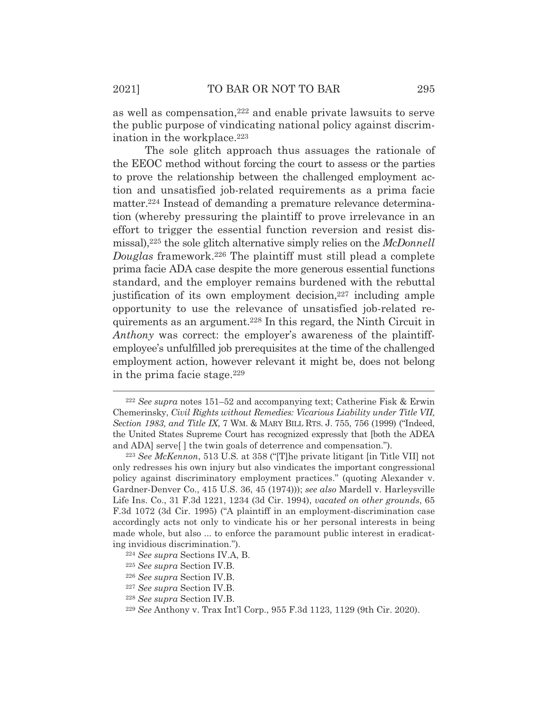as well as compensation,222 and enable private lawsuits to serve the public purpose of vindicating national policy against discrimination in the workplace.<sup>223</sup>

 The sole glitch approach thus assuages the rationale of the EEOC method without forcing the court to assess or the parties to prove the relationship between the challenged employment action and unsatisfied job-related requirements as a prima facie matter.<sup>224</sup> Instead of demanding a premature relevance determination (whereby pressuring the plaintiff to prove irrelevance in an effort to trigger the essential function reversion and resist dismissal),225 the sole glitch alternative simply relies on the *McDonnell Douglas* framework.226 The plaintiff must still plead a complete prima facie ADA case despite the more generous essential functions standard, and the employer remains burdened with the rebuttal justification of its own employment decision,<sup>227</sup> including ample opportunity to use the relevance of unsatisfied job-related requirements as an argument.228 In this regard, the Ninth Circuit in *Anthony* was correct: the employer's awareness of the plaintiffemployee's unfulfilled job prerequisites at the time of the challenged employment action, however relevant it might be, does not belong in the prima facie stage.229

<sup>222</sup> *See supra* notes 151–52 and accompanying text; Catherine Fisk & Erwin Chemerinsky, *Civil Rights without Remedies: Vicarious Liability under Title VII, Section 1983, and Title IX*, 7 WM.&MARY BILL RTS. J. 755, 756 (1999) ("Indeed, the United States Supreme Court has recognized expressly that [both the ADEA and ADA] serve[ ] the twin goals of deterrence and compensation.").

<sup>223</sup> *See McKennon*, 513 U.S*.* at 358 ("[T]he private litigant [in Title VII] not only redresses his own injury but also vindicates the important congressional policy against discriminatory employment practices." (quoting Alexander v. Gardner-Denver Co., 415 U.S. 36, 45 (1974))); *see also* Mardell v. Harleysville Life Ins. Co., 31 F.3d 1221, 1234 (3d Cir. 1994), *vacated on other grounds*, 65 F.3d 1072 (3d Cir. 1995) ("A plaintiff in an employment-discrimination case accordingly acts not only to vindicate his or her personal interests in being made whole, but also ... to enforce the paramount public interest in eradicating invidious discrimination."). 224 *See supra* Sections IV.A, B.

<sup>225</sup> *See supra* Section IV.B.

<sup>226</sup> *See supra* Section IV.B.

<sup>227</sup> *See supra* Section IV.B.

<sup>228</sup> *See supra* Section IV.B.

<sup>229</sup> *See* Anthony v. Trax Int'l Corp., 955 F.3d 1123, 1129 (9th Cir. 2020).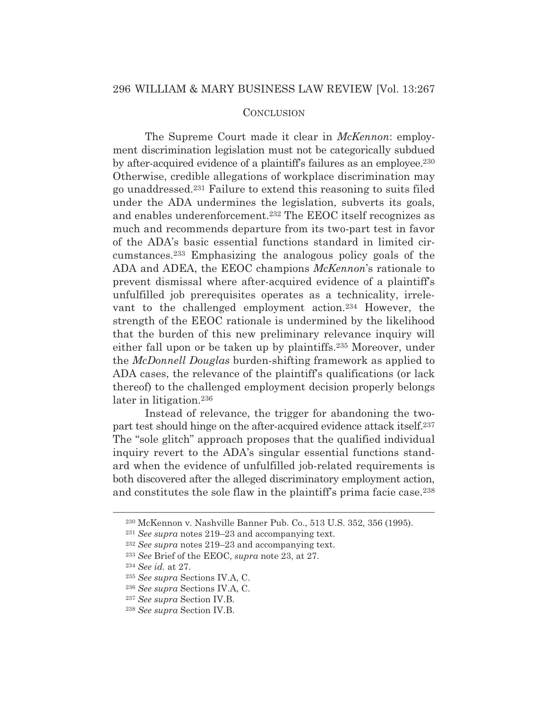## **CONCLUSION**

 The Supreme Court made it clear in *McKennon*: employment discrimination legislation must not be categorically subdued by after-acquired evidence of a plaintiff's failures as an employee.230 Otherwise, credible allegations of workplace discrimination may go unaddressed.231 Failure to extend this reasoning to suits filed under the ADA undermines the legislation, subverts its goals, and enables underenforcement.232 The EEOC itself recognizes as much and recommends departure from its two-part test in favor of the ADA's basic essential functions standard in limited circumstances.233 Emphasizing the analogous policy goals of the ADA and ADEA, the EEOC champions *McKennon*'s rationale to prevent dismissal where after-acquired evidence of a plaintiff's unfulfilled job prerequisites operates as a technicality, irrelevant to the challenged employment action.234 However, the strength of the EEOC rationale is undermined by the likelihood that the burden of this new preliminary relevance inquiry will either fall upon or be taken up by plaintiffs.235 Moreover, under the *McDonnell Douglas* burden-shifting framework as applied to ADA cases, the relevance of the plaintiff's qualifications (or lack thereof) to the challenged employment decision properly belongs later in litigation.<sup>236</sup>

 Instead of relevance, the trigger for abandoning the twopart test should hinge on the after-acquired evidence attack itself.237 The "sole glitch" approach proposes that the qualified individual inquiry revert to the ADA's singular essential functions standard when the evidence of unfulfilled job-related requirements is both discovered after the alleged discriminatory employment action, and constitutes the sole flaw in the plaintiff's prima facie case.<sup>238</sup>

<sup>230</sup> McKennon v. Nashville Banner Pub. Co., 513 U.S. 352, 356 (1995).

<sup>231</sup> *See supra* notes 219–23 and accompanying text.

<sup>232</sup> *See supra* notes 219–23 and accompanying text.

<sup>233</sup> *See* Brief of the EEOC, *supra* note 23, at 27.

<sup>234</sup> *See id.* at 27.

<sup>235</sup> *See supra* Sections IV.A, C.

<sup>236</sup> *See supra* Sections IV.A, C.

<sup>237</sup> *See supra* Section IV.B.

<sup>238</sup> *See supra* Section IV.B.